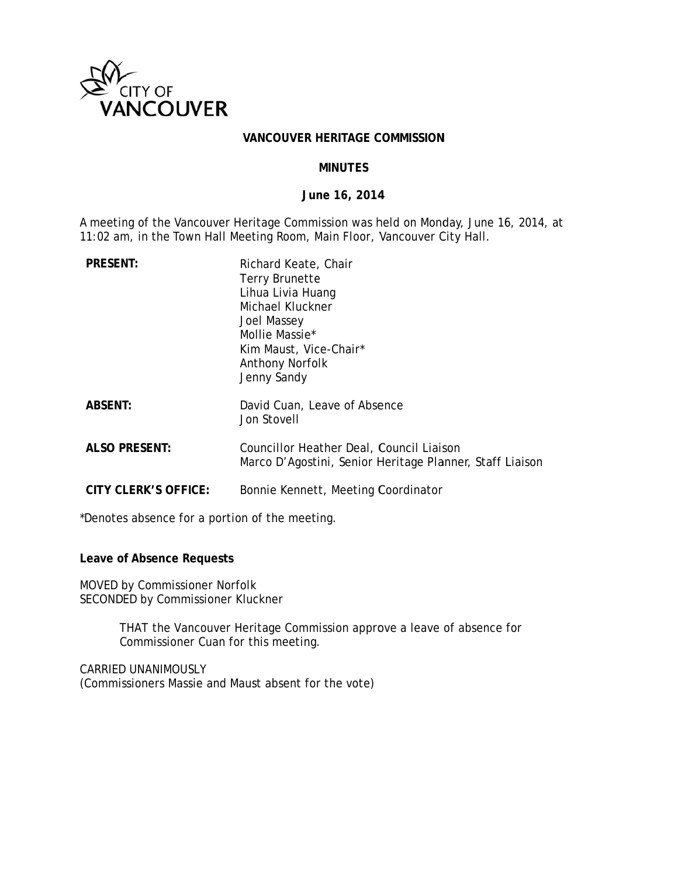

#### VANCOUVER HERITAGE COMMISSION

### **MINUTES**

#### June 16, 2014

A meeting of the Vancouver Heritage Commission was held on Monday, June 16, 2014, at 11:02 am, in the Town Hall Meeting Room, Main Floor, Vancouver City Hall.

| <b>PRESENT:</b>      | Richard Keate, Chair<br><b>Terry Brunette</b><br>Lihua Livia Huang<br>Michael Kluckner<br><b>Joel Massey</b><br>Mollie Massie*<br>Kim Maust, Vice-Chair*<br>Anthony Norfolk<br>Jenny Sandy |
|----------------------|--------------------------------------------------------------------------------------------------------------------------------------------------------------------------------------------|
| <b>ABSENT:</b>       | David Cuan, Leave of Absence<br>Jon Stovell                                                                                                                                                |
| <b>ALSO PRESENT:</b> | Councillor Heather Deal, Council Liaison<br>Marco D'Agostini, Senior Heritage Planner, Staff Liaison                                                                                       |
| CITY CLERK'S OFFICE: | Bonnie Kennett, Meeting Coordinator                                                                                                                                                        |

\*Denotes absence for a portion of the meeting.

Leave of Absence Requests

MOVED by Commissioner Norfolk SECONDED by Commissioner Kluckner

> THAT the Vancouver Heritage Commission approve a leave of absence for Commissioner Cuan for this meeting.

CARRIED UNANIMOUSLY (Commissioners Massie and Maust absent for the vote)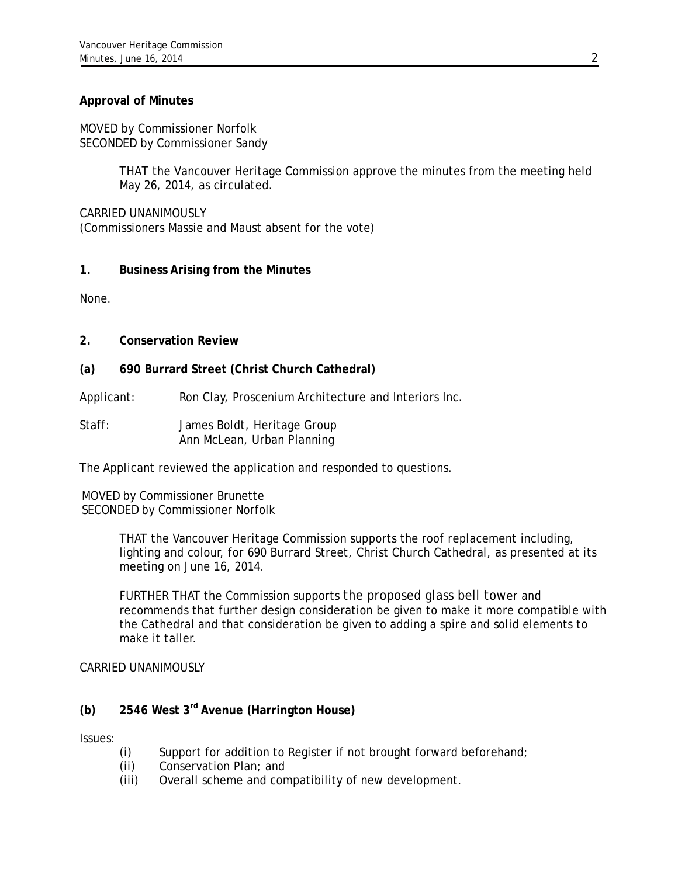# **Approval of Minutes**

MOVED by Commissioner Norfolk SECONDED by Commissioner Sandy

> THAT the Vancouver Heritage Commission approve the minutes from the meeting held May 26, 2014, as circulated.

CARRIED UNANIMOUSLY (Commissioners Massie and Maust absent for the vote)

# **1. Business Arising from the Minutes**

None.

- **2. Conservation Review**
- **(a) 690 Burrard Street (Christ Church Cathedral)**

Applicant: Ron Clay, Proscenium Architecture and Interiors Inc.

Staff: James Boldt, Heritage Group Ann McLean, Urban Planning

The Applicant reviewed the application and responded to questions.

MOVED by Commissioner Brunette SECONDED by Commissioner Norfolk

> THAT the Vancouver Heritage Commission supports the roof replacement including, lighting and colour, for 690 Burrard Street, Christ Church Cathedral, as presented at its meeting on June 16, 2014.

FURTHER THAT the Commission supports the proposed glass bell tower and recommends that further design consideration be given to make it more compatible with the Cathedral and that consideration be given to adding a spire and solid elements to make it taller.

CARRIED UNANIMOUSLY

# **(b) 2546 West 3rd Avenue (Harrington House)**

Issues:

- (i) Support for addition to Register if not brought forward beforehand;
- (ii) Conservation Plan; and
- (iii) Overall scheme and compatibility of new development.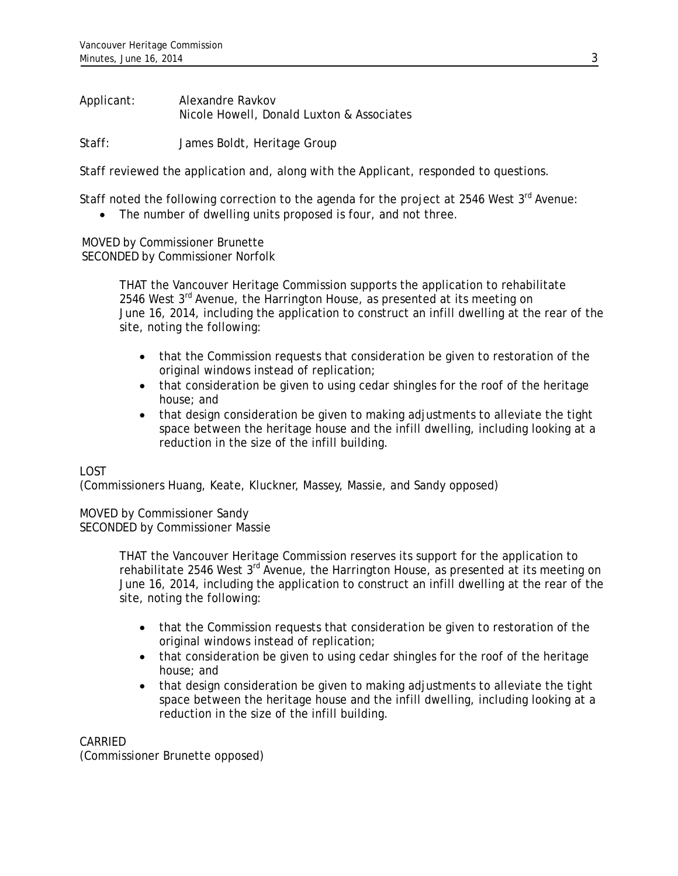Applicant: Alexandre Ravkov Nicole Howell, Donald Luxton & Associates

Staff: James Boldt, Heritage Group

Staff reviewed the application and, along with the Applicant, responded to questions.

Staff noted the following correction to the agenda for the project at 2546 West 3rd Avenue:

• The number of dwelling units proposed is four, and not three.

MOVED by Commissioner Brunette SECONDED by Commissioner Norfolk

> THAT the Vancouver Heritage Commission supports the application to rehabilitate 2546 West  $3^{rd}$  Avenue, the Harrington House, as presented at its meeting on June 16, 2014, including the application to construct an infill dwelling at the rear of the site, noting the following:

- that the Commission requests that consideration be given to restoration of the original windows instead of replication;
- that consideration be given to using cedar shingles for the roof of the heritage house; and
- that design consideration be given to making adjustments to alleviate the tight space between the heritage house and the infill dwelling, including looking at a reduction in the size of the infill building.

# LOST

(Commissioners Huang, Keate, Kluckner, Massey, Massie, and Sandy opposed)

MOVED by Commissioner Sandy SECONDED by Commissioner Massie

> THAT the Vancouver Heritage Commission reserves its support for the application to rehabilitate 2546 West 3<sup>rd</sup> Avenue, the Harrington House, as presented at its meeting on June 16, 2014, including the application to construct an infill dwelling at the rear of the site, noting the following:

- that the Commission requests that consideration be given to restoration of the original windows instead of replication;
- that consideration be given to using cedar shingles for the roof of the heritage house; and
- that design consideration be given to making adjustments to alleviate the tight space between the heritage house and the infill dwelling, including looking at a reduction in the size of the infill building.

# CARRIED

(Commissioner Brunette opposed)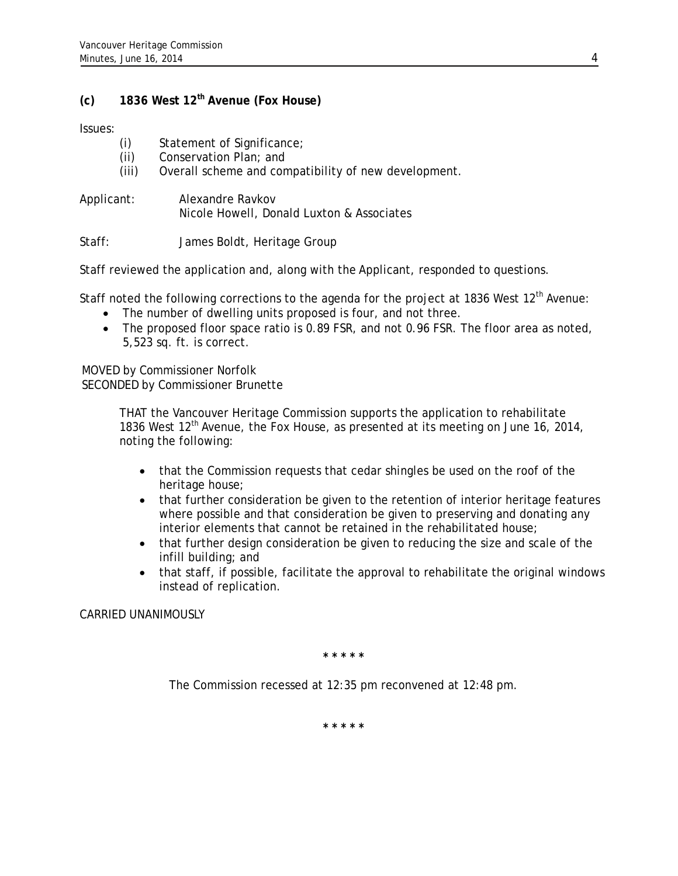# **(c) 1836 West 12th Avenue (Fox House)**

Issues:

- (i) Statement of Significance;
- (ii) Conservation Plan; and
- (iii) Overall scheme and compatibility of new development.
- Applicant: Alexandre Ravkov Nicole Howell, Donald Luxton & Associates

Staff: James Boldt, Heritage Group

Staff reviewed the application and, along with the Applicant, responded to questions.

Staff noted the following corrections to the agenda for the project at 1836 West 12<sup>th</sup> Avenue:

- The number of dwelling units proposed is four, and not three.
- The proposed floor space ratio is 0.89 FSR, and not 0.96 FSR. The floor area as noted, 5,523 sq. ft. is correct.

MOVED by Commissioner Norfolk SECONDED by Commissioner Brunette

> THAT the Vancouver Heritage Commission supports the application to rehabilitate 1836 West  $12<sup>th</sup>$  Avenue, the Fox House, as presented at its meeting on June 16, 2014, noting the following:

- that the Commission requests that cedar shingles be used on the roof of the heritage house;
- that further consideration be given to the retention of interior heritage features where possible and that consideration be given to preserving and donating any interior elements that cannot be retained in the rehabilitated house;
- that further design consideration be given to reducing the size and scale of the infill building; and
- that staff, if possible, facilitate the approval to rehabilitate the original windows instead of replication.

CARRIED UNANIMOUSLY

**\* \* \* \* \*** 

The Commission recessed at 12:35 pm reconvened at 12:48 pm.

**\* \* \* \* \***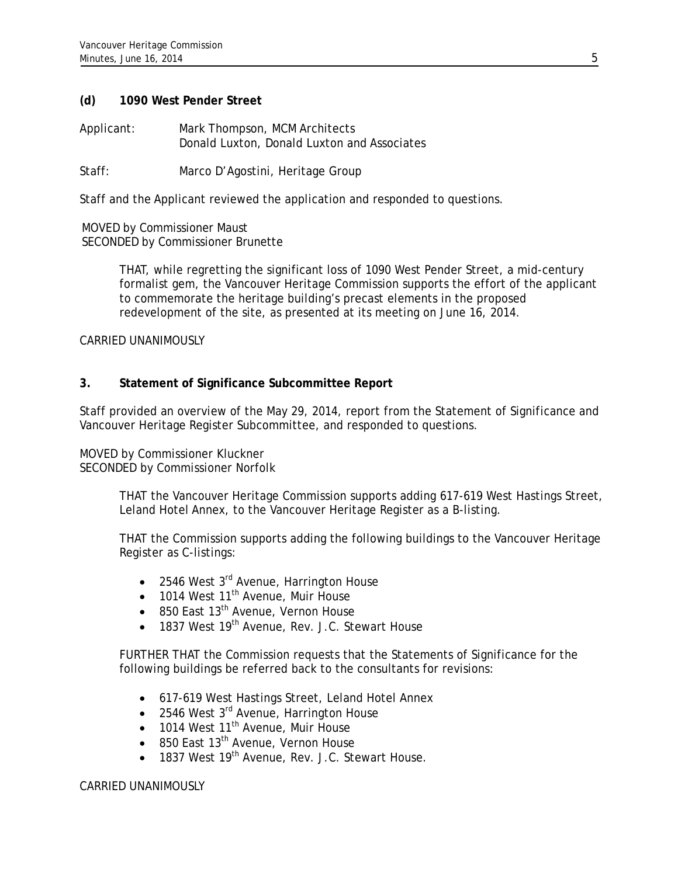# **(d) 1090 West Pender Street**

Applicant: Mark Thompson, MCM Architects Donald Luxton, Donald Luxton and Associates

Staff: Marco D'Agostini, Heritage Group

Staff and the Applicant reviewed the application and responded to questions.

MOVED by Commissioner Maust SECONDED by Commissioner Brunette

> THAT, while regretting the significant loss of 1090 West Pender Street, a mid-century formalist gem, the Vancouver Heritage Commission supports the effort of the applicant to commemorate the heritage building's precast elements in the proposed redevelopment of the site, as presented at its meeting on June 16, 2014.

### CARRIED UNANIMOUSLY

# **3. Statement of Significance Subcommittee Report**

Staff provided an overview of the May 29, 2014, report from the Statement of Significance and Vancouver Heritage Register Subcommittee, and responded to questions.

MOVED by Commissioner Kluckner SECONDED by Commissioner Norfolk

> THAT the Vancouver Heritage Commission supports adding 617-619 West Hastings Street, Leland Hotel Annex, to the Vancouver Heritage Register as a B-listing.

> THAT the Commission supports adding the following buildings to the Vancouver Heritage Register as C-listings:

- $\bullet$  2546 West 3<sup>rd</sup> Avenue, Harrington House
- $\bullet$  1014 West 11<sup>th</sup> Avenue, Muir House
- $\bullet$  850 East 13<sup>th</sup> Avenue, Vernon House
- 1837 West 19<sup>th</sup> Avenue, Rev. J.C. Stewart House

FURTHER THAT the Commission requests that the Statements of Significance for the following buildings be referred back to the consultants for revisions:

- 617-619 West Hastings Street, Leland Hotel Annex
- 2546 West 3<sup>rd</sup> Avenue, Harrington House
- $\bullet$  1014 West 11<sup>th</sup> Avenue, Muir House
- $\bullet$  850 East 13<sup>th</sup> Avenue, Vernon House
- 1837 West 19<sup>th</sup> Avenue, Rev. J.C. Stewart House.

## CARRIED UNANIMOUSLY